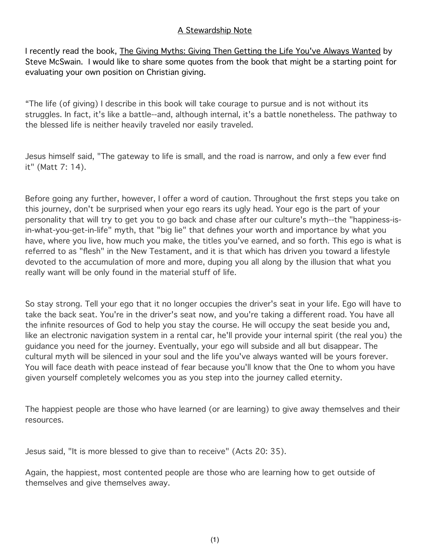## A Stewardship Note

I recently read the book, The Giving Myths: Giving Then Getting the Life You've Always Wanted by Steve McSwain. I would like to share some quotes from the book that might be a starting point for evaluating your own position on Christian giving.

"The life (of giving) I describe in this book will take courage to pursue and is not without its struggles. In fact, it's like a battle--and, although internal, it's a battle nonetheless. The pathway to the blessed life is neither heavily traveled nor easily traveled.

Jesus himself said, "The gateway to life is small, and the road is narrow, and only a few ever find it" (Matt 7: 14).

Before going any further, however, I offer a word of caution. Throughout the first steps you take on this journey, don't be surprised when your ego rears its ugly head. Your ego is the part of your personality that will try to get you to go back and chase after our culture's myth--the "happiness-isin-what-you-get-in-life" myth, that "big lie" that defines your worth and importance by what you have, where you live, how much you make, the titles you've earned, and so forth. This ego is what is referred to as "flesh" in the New Testament, and it is that which has driven you toward a lifestyle devoted to the accumulation of more and more, duping you all along by the illusion that what you really want will be only found in the material stuff of life.

So stay strong. Tell your ego that it no longer occupies the driver's seat in your life. Ego will have to take the back seat. You're in the driver's seat now, and you're taking a different road. You have all the infinite resources of God to help you stay the course. He will occupy the seat beside you and, like an electronic navigation system in a rental car, he'll provide your internal spirit (the real you) the guidance you need for the journey. Eventually, your ego will subside and all but disappear. The cultural myth will be silenced in your soul and the life you've always wanted will be yours forever. You will face death with peace instead of fear because you'll know that the One to whom you have given yourself completely welcomes you as you step into the journey called eternity.

The happiest people are those who have learned (or are learning) to give away themselves and their resources.

Jesus said, "It is more blessed to give than to receive" (Acts 20: 35).

Again, the happiest, most contented people are those who are learning how to get outside of themselves and give themselves away.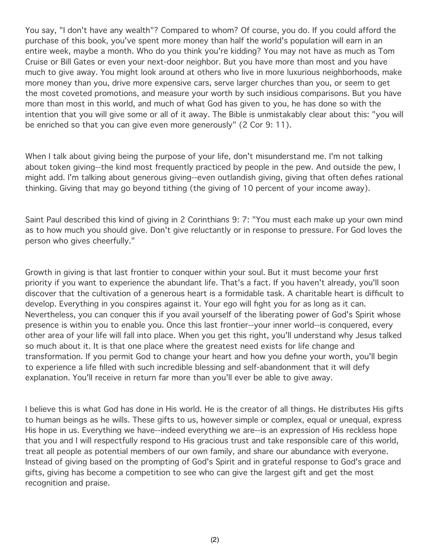You say, "I don't have any wealth"? Compared to whom? Of course, you do. If you could afford the purchase of this book, you've spent more money than half the world's population will earn in an entire week, maybe a month. Who do you think you're kidding? You may not have as much as Tom Cruise or Bill Gates or even your next-door neighbor. But you have more than most and you have much to give away. You might look around at others who live in more luxurious neighborhoods, make more money than you, drive more expensive cars, serve larger churches than you, or seem to get the most coveted promotions, and measure your worth by such insidious comparisons. But you have more than most in this world, and much of what God has given to you, he has done so with the intention that you will give some or all of it away. The Bible is unmistakably clear about this: "you will be enriched so that you can give even more generously" (2 Cor 9: 11).

When I talk about giving being the purpose of your life, don't misunderstand me. I'm not talking about token giving--the kind most frequently practiced by people in the pew. And outside the pew, I might add. I'm talking about generous giving--even outlandish giving, giving that often defies rational thinking. Giving that may go beyond tithing (the giving of 10 percent of your income away).

Saint Paul described this kind of giving in 2 Corinthians 9: 7: "You must each make up your own mind as to how much you should give. Don't give reluctantly or in response to pressure. For God loves the person who gives cheerfully."

Growth in giving is that last frontier to conquer within your soul. But it must become your first priority if you want to experience the abundant life. That's a fact. If you haven't already, you'll soon discover that the cultivation of a generous heart is a formidable task. A charitable heart is difficult to develop. Everything in you conspires against it. Your ego will fight you for as long as it can. Nevertheless, you can conquer this if you avail yourself of the liberating power of God's Spirit whose presence is within you to enable you. Once this last frontier--your inner world--is conquered, every other area of your life will fall into place. When you get this right, you'll understand why Jesus talked so much about it. It is that one place where the greatest need exists for life change and transformation. If you permit God to change your heart and how you define your worth, you'll begin to experience a life filled with such incredible blessing and self-abandonment that it will defy explanation. You'll receive in return far more than you'll ever be able to give away.

I believe this is what God has done in His world. He is the creator of all things. He distributes His gifts to human beings as he wills. These gifts to us, however simple or complex, equal or unequal, express His hope in us. Everything we have--indeed everything we are--is an expression of His reckless hope that you and I will respectfully respond to His gracious trust and take responsible care of this world, treat all people as potential members of our own family, and share our abundance with everyone. Instead of giving based on the prompting of God's Spirit and in grateful response to God's grace and gifts, giving has become a competition to see who can give the largest gift and get the most recognition and praise.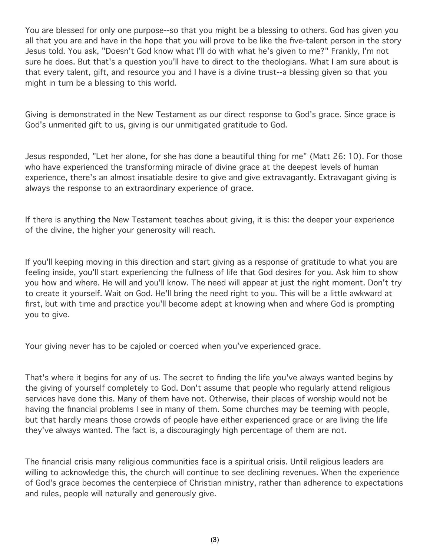You are blessed for only one purpose--so that you might be a blessing to others. God has given you all that you are and have in the hope that you will prove to be like the five-talent person in the story Jesus told. You ask, "Doesn't God know what I'll do with what he's given to me?" Frankly, I'm not sure he does. But that's a question you'll have to direct to the theologians. What I am sure about is that every talent, gift, and resource you and I have is a divine trust--a blessing given so that you might in turn be a blessing to this world.

Giving is demonstrated in the New Testament as our direct response to God's grace. Since grace is God's unmerited gift to us, giving is our unmitigated gratitude to God.

Jesus responded, "Let her alone, for she has done a beautiful thing for me" (Matt 26: 10). For those who have experienced the transforming miracle of divine grace at the deepest levels of human experience, there's an almost insatiable desire to give and give extravagantly. Extravagant giving is always the response to an extraordinary experience of grace.

If there is anything the New Testament teaches about giving, it is this: the deeper your experience of the divine, the higher your generosity will reach.

If you'll keeping moving in this direction and start giving as a response of gratitude to what you are feeling inside, you'll start experiencing the fullness of life that God desires for you. Ask him to show you how and where. He will and you'll know. The need will appear at just the right moment. Don't try to create it yourself. Wait on God. He'll bring the need right to you. This will be a little awkward at first, but with time and practice you'll become adept at knowing when and where God is prompting you to give.

Your giving never has to be cajoled or coerced when you've experienced grace.

That's where it begins for any of us. The secret to finding the life you've always wanted begins by the giving of yourself completely to God. Don't assume that people who regularly attend religious services have done this. Many of them have not. Otherwise, their places of worship would not be having the financial problems I see in many of them. Some churches may be teeming with people, but that hardly means those crowds of people have either experienced grace or are living the life they've always wanted. The fact is, a discouragingly high percentage of them are not.

The financial crisis many religious communities face is a spiritual crisis. Until religious leaders are willing to acknowledge this, the church will continue to see declining revenues. When the experience of God's grace becomes the centerpiece of Christian ministry, rather than adherence to expectations and rules, people will naturally and generously give.